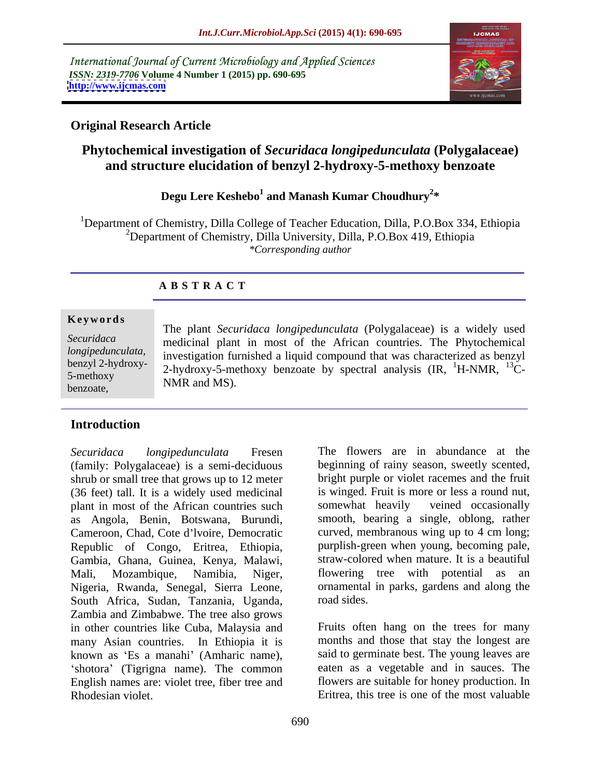International Journal of Current Microbiology and Applied Sciences *ISSN: 2319-7706* **Volume 4 Number 1 (2015) pp. 690-695 <http://www.ijcmas.com>**



## **Original Research Article**

# **Phytochemical investigation of** *Securidaca longipedunculata* **(Polygalaceae) and structure elucidation of benzyl 2-hydroxy-5-methoxy benzoate**

### **Degu Lere Keshebo<sup>1</sup> and Manash Kumar Choudhury<sup>2</sup> \***

1Department of Chemistry, Dilla College of Teacher Education, Dilla, P.O.Box 334, Ethiopia 2Department of Chemistry, Dilla University, Dilla, P.O.Box 419, Ethiopia *\*Corresponding author*

### **A B S T R A C T**

benzoate,

The plant *Securidaca longipedunculata* (Polygalaceae) is a widely used medicinal plant in most of the African countries. The Phytochemical *Securidaca longipedunculata*, investigation furnished a liquid compound that was characterized as benzyl<br>benzyl 2-hydroxy-<br>2. bydroxy-5. methoxy, benzoate, by spectral analysis (IP, <sup>1</sup>H, NMP, <sup>13</sup>C benzyl 2-hydroxy- $\frac{2-hydroxy-5-methoxy}{2-hydroxy-5-methoxy}$  benzoate by spectral analysis  $\frac{1}{2}$ H-NMR,  $\frac{13}{2}$ C-NMR and MS). **Ke ywo rds**

### **Introduction**

(family: Polygalaceae) is a semi-deciduous shrub or small tree that grows up to 12 meter (36 feet) tall. It is a widely used medicinal plant in most of the African countries such somewhat heavily veined occasionally as Angola, Benin, Botswana, Burundi, Cameroon, Chad, Cote d'Ivoire, Democratic Republic of Congo, Eritrea, Ethiopia, Gambia, Ghana, Guinea, Kenya, Malawi, Mali, Mozambique, Namibia, Niger, flowering tree with potential as an Nigeria, Rwanda, Senegal, Sierra Leone, ornamental<br>South Africa Sudan Tanzania Uganda road-sides. South Africa, Sudan, Tanzania, Uganda, Zambia and Zimbabwe. The tree also grows in other countries like Cuba, Malaysia and many Asian countries. In Ethiopia it is known as 'Es a manahi' (Amharic name), 'shotora' (Tigrigna name). The common English names are: violet tree, fiber tree and Rhodesian violet. Eritrea, this tree is one of the most valuable

*Securidaca longipedunculata* Fresen The flowers are in abundance at the beginning of rainy season, sweetly scented, bright purple or violet racemes and the fruit is winged. Fruit is more or less a round nut, somewhat heavily veined occasionally smooth, bearing a single, oblong, rather curved, membranous wing up to 4 cm long; purplish-green when young, becoming pale, straw-colored when mature. It is a beautiful ornamental in parks, gardens and along the road sides.

> Fruits often hang on the trees for many months and those that stay the longest are said to germinate best. The young leaves are eaten as a vegetable and in sauces. The flowers are suitable for honey production. In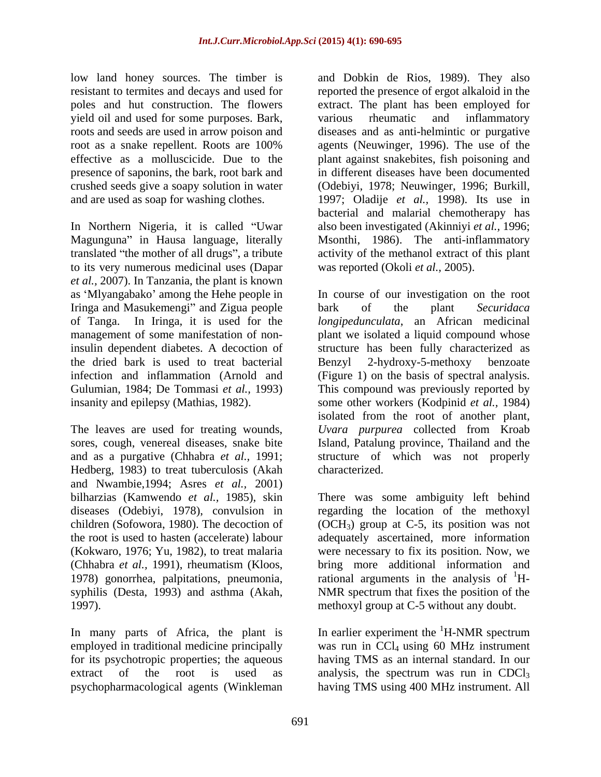low land honey sources. The timber is and Dobkin de Rios, 1989). They also yield oil and used for some purposes. Bark, presence of saponins, the bark, root bark and

In Northern Nigeria, it is called "Uwar also been investigated (Akinniyi *et al.*, 1996; Magunguna" in Hausa language, literally Msonthi, 1986). The anti-inflammatory translated "the mother of all drugs", a tribute to its very numerous medicinal uses (Dapar *et al.,* 2007). In Tanzania, the plant is known Iringa and Masukemengi" and Zigua people bark of the plant Securidaca the dried bark is used to treat bacterial

and as a purgative (Chhabra *et al.,* 1991; Hedberg, 1983) to treat tuberculosis (Akah and Nwambie,1994; Asres *et al.,* 2001) 1997). methoxyl group at C-5 without any doubt.

In many parts of Africa, the plant is employed in traditional medicine principally was run in CCl<sub>4</sub> using 60 MHz instrument for its psychotropic properties; the aqueous having TMS as an internal standard. In our extract of the root is used as analysis, the spectrum was run in  $CDCl<sub>3</sub>$ psychopharmacological agents (Winkleman having TMS using 400 MHz instrument. All

resistant to termites and decays and used for reported the presence of ergot alkaloid in the poles and hut construction. The flowers extract. The plant has been employed for roots and seeds are used in arrow poison and diseases and as anti-helmintic or purgative root as a snake repellent. Roots are 100% agents (Neuwinger, 1996). The use of the effective as a molluscicide. Due to the plant against snakebites, fish poisoning and crushed seeds give a soapy solution in water (Odebiyi, 1978; Neuwinger, 1996; Burkill, and are used as soap for washing clothes. 1997; Oladije *et al.,* 1998). Its use in various rheumatic and inflammatory in different diseases have been documented bacterial and malarial chemotherapy has activity of the methanol extract of this plant was reported (Okoli *et al.,* 2005).

as 'Mlyangabako' among the Hehe people in In course of our investigation on the root of Tanga. In Iringa, it is used for the *longipedunculata*, an African medicinal management of some manifestation of non-plant we isolated a liquid compound whose insulin dependent diabetes. A decoction of structure has been fully characterized as infection and inflammation (Arnold and (Figure 1) on the basis of spectral analysis. Gulumian, 1984; De Tommasi *et al.,* 1993) This compound was previously reported by insanity and epilepsy (Mathias, 1982). some other workers (Kodpinid *et al.,* 1984) The leaves are used for treating wounds, *Uvara purpurea* collected from Kroab sores, cough, venereal diseases, snake bite Island, Patalung province, Thailand and the bark of the plant *Securidaca*  Benzyl 2-hydroxy-5-methoxy benzoate isolated from the root of another plant, structure of which was not properly characterized.

bilharzias (Kamwendo *et al.,* 1985), skin There was some ambiguity left behind diseases (Odebiyi, 1978), convulsion in regarding the location of the methoxyl children (Sofowora, 1980). The decoction of  $OCH_3$ ) group at C-5, its position was not the root is used to hasten (accelerate) labour adequately ascertained, more information (Kokwaro, 1976; Yu, 1982), to treat malaria were necessary to fix its position. Now, we (Chhabra *et al.,* 1991), rheumatism (Kloos, bring more additional information and 1978) gonorrhea, palpitations, pneumonia, rational arguments in the analysis of  ${}^{1}H$ syphilis (Desta, 1993) and asthma (Akah, NMR spectrum that fixes the position of the

> In earlier experiment the  ${}^{1}$ H-NMR spectrum <sup>1</sup>H-NMR spectrum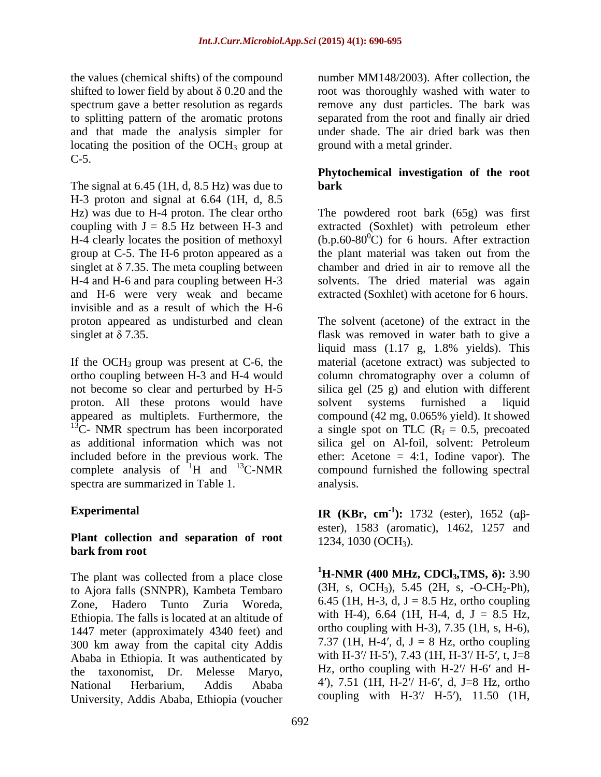spectrum gave a better resolution as regards locating the position of the  $OCH<sub>3</sub>$  group at C-5.

The signal at 6.45 (1H, d, 8.5 Hz) was due to **bark** H-3 proton and signal at 6.64 (1H, d, 8.5 Hz) was due to H-4 proton. The clear ortho coupling with  $J = 8.5$  Hz between H-3 and extracted (Soxhlet) with petroleum ether H-4 clearly locates the position of methoxyl group at C-5. The H-6 proton appeared as a singlet at  $\delta$  7.35. The meta coupling between H-4 and H-6 and para coupling between H-3 solvents. The dried material was again and H-6 were very weak and became invisible and as a result of which the H-6

proton. All these protons would have solvent systems furnished a liquid  $13^{\circ}$ C- NMR spectrum has been incorporated as additional information which was not silica gel on Al-foil, solvent: Petroleum included before in the previous work. The complete analysis of  ${}^{1}H$  and  ${}^{13}C\text{-}NMR$ spectra are summarized in Table 1.

### **Plant collection and separation of root bark from root**

The plant was collected from a place close to Ajora falls (SNNPR), Kambeta Tembaro Ethiopia. The falls is located at an altitude of 1447 meter (approximately 4340 feet) and 300 km away from the capital city Addis Ababa in Ethiopia. It was authenticated by University, Addis Ababa, Ethiopia (voucher

the values (chemical shifts) of the compound number MM148/2003). After collection, the shifted to lower field by about  $\delta$  0.20 and the stroot was thoroughly washed with water to to splitting pattern of the aromatic protons separated from the root and finally air dried and that made the analysis simpler for under shade. The air dried bark was then remove any dust particles. The bark was ground with a metal grinder.

### **Phytochemical investigation of the root bark**

The powdered root bark (65g) was first  $(b.p.60-80^{\circ}C)$  for 6 hours. After extraction the plant material was taken out from the chamber and dried in air to remove all the extracted (Soxhlet) with acetone for 6 hours.

proton appeared as undisturbed and clean The solvent (acetone) of the extract in the singlet at  $\delta$  7.35. If the OCH<sub>3</sub> group was present at C-6, the material (acetone extract) was subjected to ortho coupling between H-3 and H-4 would column chromatography over a column of not become so clear and perturbed by H-5 silica gel (25 g) and elution with different appeared as multiplets. Furthermore, the compound (42 mg, 0.065% yield). It showed <sup>13</sup>C-NMR compound furnished the following spectral liquid mass (1.17 g, 1.8% yields). This solvent systems furnished a liquid a single spot on TLC ( $R_f = 0.5$ , precoated silica gel on Al-foil, solvent: Petroleum ether: Acetone  $= 4:1$ , Iodine vapor). The analysis.

**Experimental IR** (**KBr,** cm<sup>-1</sup>): 1732 (ester), 1652 ( $\alpha\beta$ ester), 1583 (aromatic), 1462, 1257 and 1234, 1030 (OCH<sub>3</sub>).

Zone, Hadero Tunto Zuria Woreda,  $6.45$  (1H, H-3, d, J = 8.5 Hz, ortho coupling the taxonomist, Dr. Melesse Maryo, Hz, ortho coupling with H-2'/ H-6' and H-National Herbarium, Addis Ababa <sup>4'</sup>), 7.51 (1H, H-2'/ H-6', d, J=8 Hz, ortho **<sup>1</sup>H-NMR (400 MHz, CDCl<sub>3</sub>,TMS,**  $\delta$ **):** 3.90  $(3H, s, OCH_3)$ , 5.45  $(2H, s, -O-CH_2-Ph)$ , with H-4),  $6.64$  (1H, H-4, d, J = 8.5 Hz, ortho coupling with H-3),  $7.35$  (1H, s, H-6), 7.37 (1H, H-4', d,  $J = 8$  Hz, ortho coupling with H-3 $\frac{\text{N}}{\text{H}}$  H-5 $\frac{\text{N}}{\text{N}}$ , 7.43 (1H, H-3 $\frac{\text{N}}{\text{H}}$  H-5 $\frac{\text{N}}{\text{N}}$ , t, J=8 coupling with  $H-3''$   $H-5'$ ), 11.50 (1H,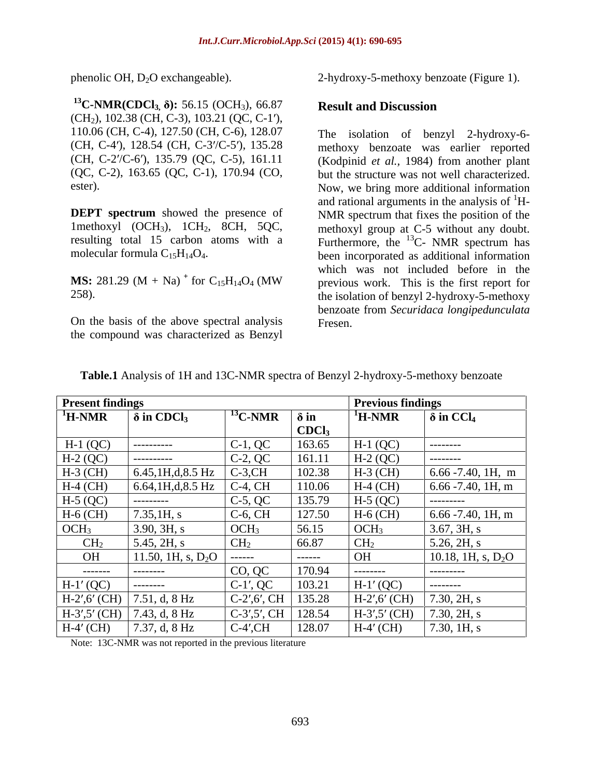<sup>13</sup>C-NMR(CDCl<sub>3</sub>,  $\delta$ ): 56.15 (OCH<sub>3</sub>), 66.87 **Result and Discussion**  $(CH<sub>2</sub>), 102.38$  (CH, C-3), 103.21 (QC, C-1'), 110.06 (CH, C-4), 127.50 (CH, C-6), 128.07 (CH, C-4'), 128.54 (CH, C-3'/C-5'), 135.28 (CH, C-2'/C-6'), 135.79 (QC, C-5), 161.11

**DEPT spectrum** showed the presence of molecular formula  $C_{15}H_{14}O_4$ .

**MS:** 281.29 (M + Na)<sup>+</sup> for  $C_{15}H_{14}O_4$  (MW)

On the basis of the above spectral analysis the compound was characterized as Benzyl

phenolic OH, D<sub>2</sub>O exchangeable). 2-hydroxy-5-methoxy benzoate (Figure 1).

### **Result and Discussion**

(QC, C-2), 163.65 (QC, C-1), 170.94 (CO, but the structure was not well characterized. ester). Now, we bring more additional information 1methoxyl (OCH<sub>3</sub>), 1CH<sub>2</sub>, 8CH, 5QC, methoxyl group at C-5 without any doubt. resulting total 15 carbon atoms with a Furthermore, the  $^{13}$ C- NMR spectrum has for  $C_{15}H_{14}O_4$  (MW previous work. This is the first report for 258). the isolation of benzyl 2-hydroxy-5-methoxy The isolation of benzyl 2-hydroxy-6 methoxy benzoate was earlier reported (Kodpinid *et al.,* 1984) from another plant and rational arguments in the analysis of  ${}^{1}H$ -NMR spectrum that fixes the position of the been incorporated as additional information which was not included before in the benzoate from *Securidaca longipedunculata* Fresen.

| <b>Present finding</b>      |                               |                                                 |                     | <b>Previous findings</b>    |                              |
|-----------------------------|-------------------------------|-------------------------------------------------|---------------------|-----------------------------|------------------------------|
| $\mathrm{^{1}H\text{-}NMR}$ | $\delta$ in CDCl <sub>3</sub> | $\vert$ <sup>13</sup> C-NMR $\vert$ $\delta$ in |                     | $\mathrm{^{1}H\text{-}NMR}$ | $\delta$ in CCl <sub>4</sub> |
|                             |                               |                                                 | $\overline{CDCl_3}$ |                             |                              |
| $H-1(QC)$                   | ---------                     | $C-1, QC$                                       | 163.65              | $H-1$ (QC)                  | .                            |
| $H-2(QC)$                   | ----------                    | $C-2$ , QC                                      | 161.11              | $H-2(QC)$                   | --------                     |
| $H-3$ (CH)                  | 6.45,1H,d,8.5 Hz              | $C-3,CH$                                        | 102.38              | $H-3$ (CH)                  | $6.66 - 7.40$ , 1H, m        |
| $H-4$ (CH)                  | 6.64,1H,d,8.5 Hz              | $C-4$ , CH                                      | 110.06              | $H-4$ (CH)                  | $6.66 - 7.40$ , 1H, m        |
| $H-5(QC)$                   | ---------                     | $C-5, QC$                                       | 135.79              | $H-5(QC)$                   | ---------                    |
| $H-6$ (CH)                  | 7.35,1H, s                    | $C-6$ , $CH$                                    | 127.50              | $H-6$ (CH)                  | $6.66 - 7.40$ , 1H, m        |
| OCH <sub>3</sub>            | 3.90, 3H, s                   | $\overline{OCH_3}$                              | 56.15               | $\vert$ OCH <sub>3</sub>    | 3.67, 3H, s                  |
| CH <sub>2</sub>             | 5.45, 2H, s                   | CH <sub>2</sub>                                 | 66.87               | CH <sub>2</sub>             | 5.26, 2H, s                  |
| OH                          | 11.50, 1H, s, $D_2O$          | ------                                          | ------              | <b>OH</b>                   | 10.18, 1H, s, $D_2O$         |
| --------                    | ---------                     | CO, QC                                          | 170.94              | --------                    | ----------                   |
| $H-1' (QC)$                 | --------                      | $C-1', QC$                                      | 103.21              | $H-1' (QC)$                 | --------                     |
| $H-2', 6' (CH)$             | 7.51, d, 8 Hz                 | $C-2', 6', CH$                                  | 135.28              | $H-2', 6' (CH)$             | 7.30, 2H, s                  |
|                             | $H-3', 5' (CH)$ 7.43, d, 8 Hz | $C-3', 5', CH$                                  | 128.54              | $H-3', 5' (CH)$             | 7.30, 2H, s                  |
| $H-4'$ (CH)                 | 7.37, d, 8 Hz                 | $C-4'$ , $CH$                                   | 128.07              | $H-4'$ (CH)                 | 7.30, 1H, s                  |

| Table.1 Analysis of 1H and 13C-NMR spectra of Benzyl 2-hydroxy-5 | y-5-methoxy benzoate |  |  |
|------------------------------------------------------------------|----------------------|--|--|
|                                                                  |                      |  |  |

Note: 13C-NMR was not reported in the previous literature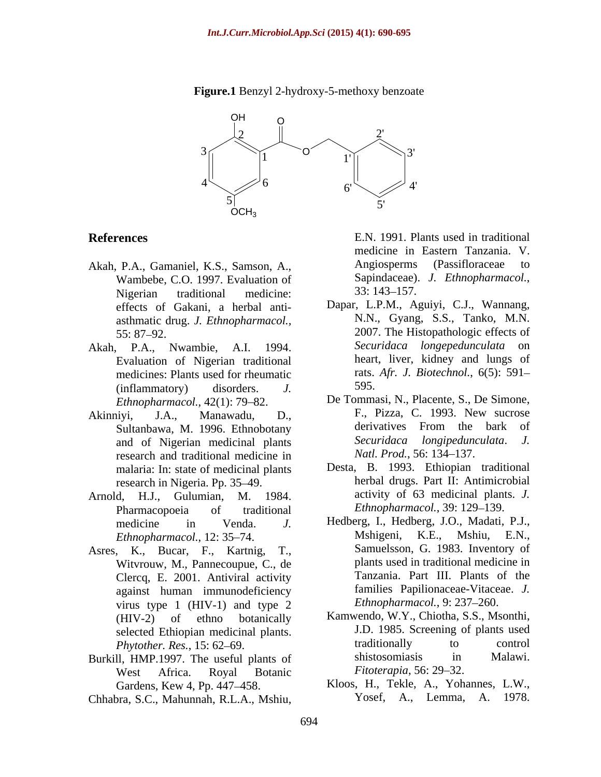

### **Figure.1** Benzyl 2-hydroxy-5-methoxy benzoate

- Wambebe, C.O. 1997. Evaluation of Sapindaceae).<br>Nigerian traditional medicine: 33: 143–157. Nigerian traditional medicine: 33:143–157. effects of Gakani, a herbal anti asthmatic drug. *J. Ethnopharmacol.,*
- Evaluation of Nigerian traditional medicines: Plants used for rheumatic rats.<br>
(inflammatory) disorders *I* 595. (inflammatory) disorders. *J.*
- and of Nigerian medicinal plants<br>
research and traditional medicine in *Natl. Prod.*, 56:134–137. research and traditional medicine in malaria: In: state of medicinal plants research in Nigeria. Pp. 35–49.
- Arnold, H.J., Gulumian, M. 1984. Pharmacopoeia of traditional *Ethnopharmacol.*, 39: 129–139.
- Asres, K., Bucar, F., Kartnig, T., Witvrouw, M., Pannecoupue, C., de Clercq, E. 2001. Antiviral activity against human immunodeficiency virus type 1 (HIV-1) and type 2 *Phytother. Res.*, 15: 62–69. The useful plants of traditionally<br>Il HMP 1997 The useful plants of shistosomiasis **References** E.N., 1991. Plants used in reditional medicine in External Transmitering (Passificneceae to Nambele, C.O. 1997. Feylatiation of Sayindeceae 1. *Ehropharmacod*, Nigerian traditional medicine 33: 142–1157.<br>
eff
- West Africa. Royal Botanic *Fitoterapia*, 56: 29–32.
- 

**References** E.N. 1991. Plants used in traditional Akah, P.A., Gamaniel, K.S., Samson, A., Angiosperms (Passifloraceae to Wambebe CO 1997 Evaluation of Sapindaceae). *J. Ethnopharmacol.*, medicine in Eastern Tanzania. V. Angiosperms (Passifloraceae to Sapindaceae). *J. Ethnopharmacol.*,<br>33: 143–157.

- 55: 87 92. 2007. The Histopathologic effects of Akah, P.A., Nwambie, A.I. 1994. *Securidaca longepedunculata* on Dapar, L.P.M., Aguiyi, C.J., Wannang, N.N., Gyang, S.S., Tanko, M.N. heart, liver, kidney and lungs of rats. *Afr. J. Biotechnol.*, 6(5): 591 595.
- *Ethnopharmacol.*, 42(1): 79–82. De Tommasi, N., Placente, S., De Simone, Akinniyi, J.A., Manawadu, D., F., Pizza, C. 1993. New sucrose<br>Sultanbawa M 1996 Ethnobotany derivatives From the bark of Sultanbawa, M. 1996. Ethnobotany between the bark of the bark of the bark of the state of the Securidaca *I* considered and of Nigerian medicinal plants F., Pizza, C. 1993. New sucrose derivatives From the bark of *Securidaca longipedunculata*. *J. Natl. Prod.*, 56: 134–137.
	- Desta, B. 1993. Ethiopian traditional herbal drugs. Part II: Antimicrobial activity of 63 medicinal plants. *J. Ethnopharmacol.*, 39: 129–139.
	- medicine in Venda. *J.* Hedberg, I., Hedberg, J.O., Madati, P.J., *Ethnopharmacol.*, 12: 35 74. Mshigeni, K.E., Mshiu, E.N., Samuelsson, G. 1983. Inventory of plants used in traditional medicine in Tanzania. Part III. Plants of the families Papilionaceae-Vitaceae. *J. Ethnopharmacol.*, 9: 237-260.
- (HIV-2) of ethno botanically Kamwendo, W.Y., Chiotha, S.S., Msonthi, selected Ethiopian medicinal plants.<br>  $J.D. 1985$ . Screening of plants used<br>  $m_{total}$  to control<br>  $m_{total}$  to control Burkill, HMP.1997. The useful plants of shistosomiasis in Malawi.<br>West Africa Royal Botanic Fitoterapia, 56: 29–32. J.D. 1985. Screening of plants used traditionally to control shistosomiasis in Malawi. *Fitoterapia*, 56: 29–32.
	- Gardens, Kew 4, Pp. 447–458. Kloos, H., Tekle, A., Yohannes, L.W., Yosef, A., Lemma, A. 1978.